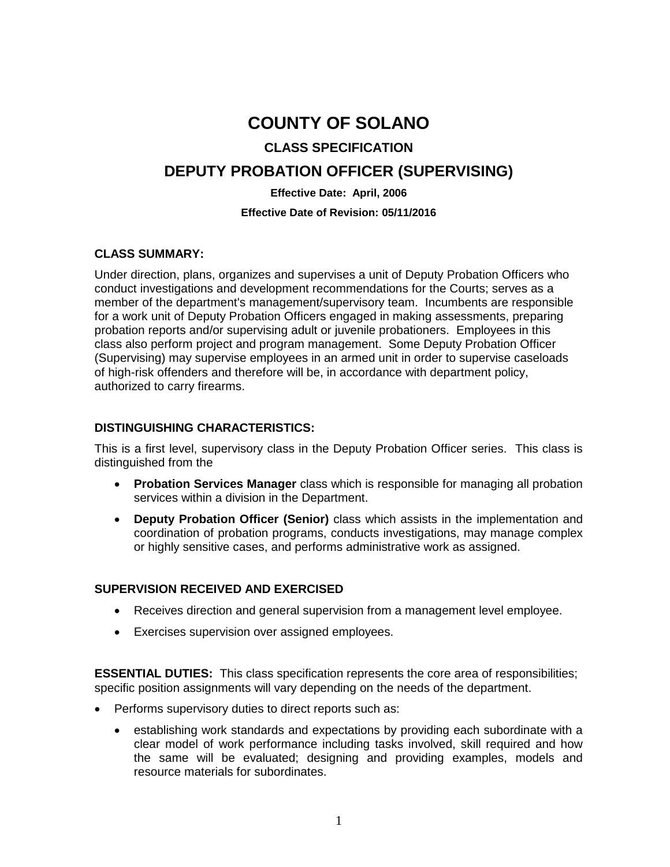# **COUNTY OF SOLANO**

### **CLASS SPECIFICATION**

## **DEPUTY PROBATION OFFICER (SUPERVISING)**

#### **Effective Date: April, 2006**

#### **Effective Date of Revision: 05/11/2016**

#### **CLASS SUMMARY:**

Under direction, plans, organizes and supervises a unit of Deputy Probation Officers who conduct investigations and development recommendations for the Courts; serves as a member of the department's management/supervisory team. Incumbents are responsible for a work unit of Deputy Probation Officers engaged in making assessments, preparing probation reports and/or supervising adult or juvenile probationers. Employees in this class also perform project and program management. Some Deputy Probation Officer (Supervising) may supervise employees in an armed unit in order to supervise caseloads of high-risk offenders and therefore will be, in accordance with department policy, authorized to carry firearms.

#### **DISTINGUISHING CHARACTERISTICS:**

This is a first level, supervisory class in the Deputy Probation Officer series. This class is distinguished from the

- **Probation Services Manager** class which is responsible for managing all probation services within a division in the Department.
- **Deputy Probation Officer (Senior)** class which assists in the implementation and coordination of probation programs, conducts investigations, may manage complex or highly sensitive cases, and performs administrative work as assigned.

#### **SUPERVISION RECEIVED AND EXERCISED**

- Receives direction and general supervision from a management level employee.
- Exercises supervision over assigned employees.

**ESSENTIAL DUTIES:** This class specification represents the core area of responsibilities; specific position assignments will vary depending on the needs of the department.

- Performs supervisory duties to direct reports such as:
	- establishing work standards and expectations by providing each subordinate with a clear model of work performance including tasks involved, skill required and how the same will be evaluated; designing and providing examples, models and resource materials for subordinates.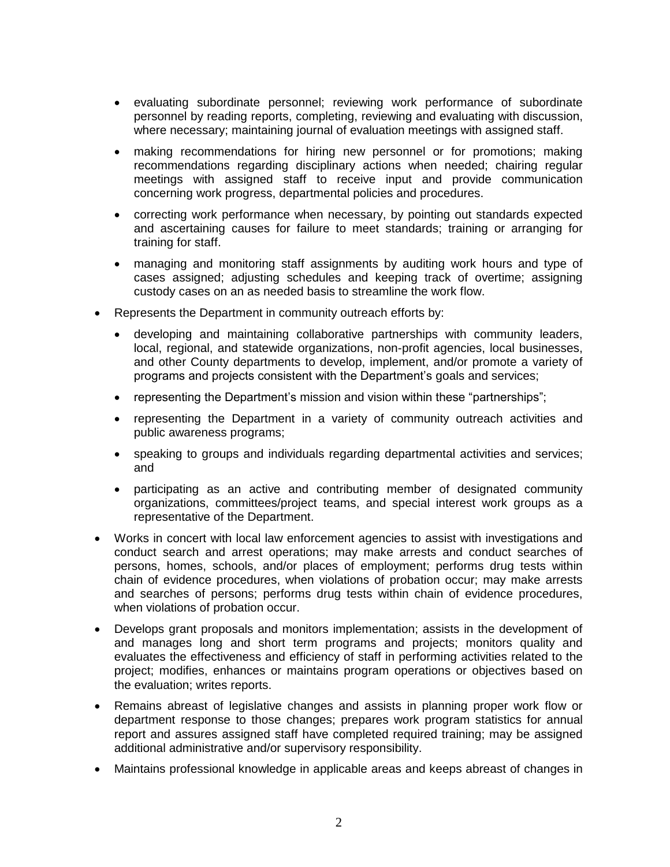- evaluating subordinate personnel; reviewing work performance of subordinate personnel by reading reports, completing, reviewing and evaluating with discussion, where necessary; maintaining journal of evaluation meetings with assigned staff.
- making recommendations for hiring new personnel or for promotions; making recommendations regarding disciplinary actions when needed; chairing regular meetings with assigned staff to receive input and provide communication concerning work progress, departmental policies and procedures.
- correcting work performance when necessary, by pointing out standards expected and ascertaining causes for failure to meet standards; training or arranging for training for staff.
- managing and monitoring staff assignments by auditing work hours and type of cases assigned; adjusting schedules and keeping track of overtime; assigning custody cases on an as needed basis to streamline the work flow.
- Represents the Department in community outreach efforts by:
	- developing and maintaining collaborative partnerships with community leaders, local, regional, and statewide organizations, non-profit agencies, local businesses, and other County departments to develop, implement, and/or promote a variety of programs and projects consistent with the Department's goals and services;
	- representing the Department's mission and vision within these "partnerships";
	- representing the Department in a variety of community outreach activities and public awareness programs;
	- speaking to groups and individuals regarding departmental activities and services; and
	- participating as an active and contributing member of designated community organizations, committees/project teams, and special interest work groups as a representative of the Department.
- Works in concert with local law enforcement agencies to assist with investigations and conduct search and arrest operations; may make arrests and conduct searches of persons, homes, schools, and/or places of employment; performs drug tests within chain of evidence procedures, when violations of probation occur; may make arrests and searches of persons; performs drug tests within chain of evidence procedures, when violations of probation occur.
- Develops grant proposals and monitors implementation; assists in the development of and manages long and short term programs and projects; monitors quality and evaluates the effectiveness and efficiency of staff in performing activities related to the project; modifies, enhances or maintains program operations or objectives based on the evaluation; writes reports.
- Remains abreast of legislative changes and assists in planning proper work flow or department response to those changes; prepares work program statistics for annual report and assures assigned staff have completed required training; may be assigned additional administrative and/or supervisory responsibility.
- Maintains professional knowledge in applicable areas and keeps abreast of changes in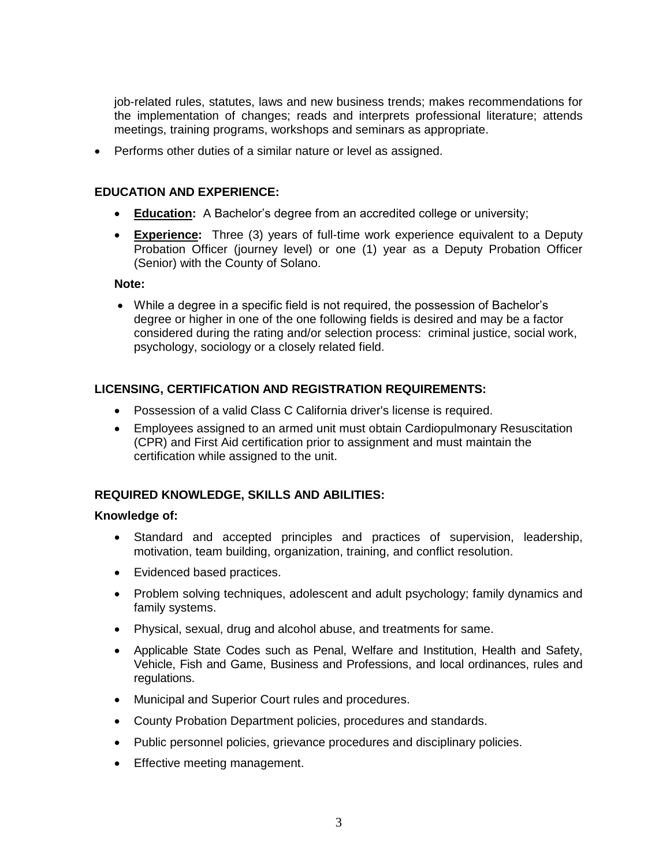job-related rules, statutes, laws and new business trends; makes recommendations for the implementation of changes; reads and interprets professional literature; attends meetings, training programs, workshops and seminars as appropriate.

Performs other duties of a similar nature or level as assigned.

#### **EDUCATION AND EXPERIENCE:**

- **Education:** A Bachelor's degree from an accredited college or university;
- **Experience:** Three (3) years of full-time work experience equivalent to a Deputy Probation Officer (journey level) or one (1) year as a Deputy Probation Officer (Senior) with the County of Solano.

#### **Note:**

 While a degree in a specific field is not required, the possession of Bachelor's degree or higher in one of the one following fields is desired and may be a factor considered during the rating and/or selection process: criminal justice, social work, psychology, sociology or a closely related field.

#### **LICENSING, CERTIFICATION AND REGISTRATION REQUIREMENTS:**

- Possession of a valid Class C California driver's license is required.
- Employees assigned to an armed unit must obtain Cardiopulmonary Resuscitation (CPR) and First Aid certification prior to assignment and must maintain the certification while assigned to the unit.

#### **REQUIRED KNOWLEDGE, SKILLS AND ABILITIES:**

#### **Knowledge of:**

- Standard and accepted principles and practices of supervision, leadership, motivation, team building, organization, training, and conflict resolution.
- Evidenced based practices.
- Problem solving techniques, adolescent and adult psychology; family dynamics and family systems.
- Physical, sexual, drug and alcohol abuse, and treatments for same.
- Applicable State Codes such as Penal, Welfare and Institution, Health and Safety, Vehicle, Fish and Game, Business and Professions, and local ordinances, rules and regulations.
- Municipal and Superior Court rules and procedures.
- County Probation Department policies, procedures and standards.
- Public personnel policies, grievance procedures and disciplinary policies.
- Effective meeting management.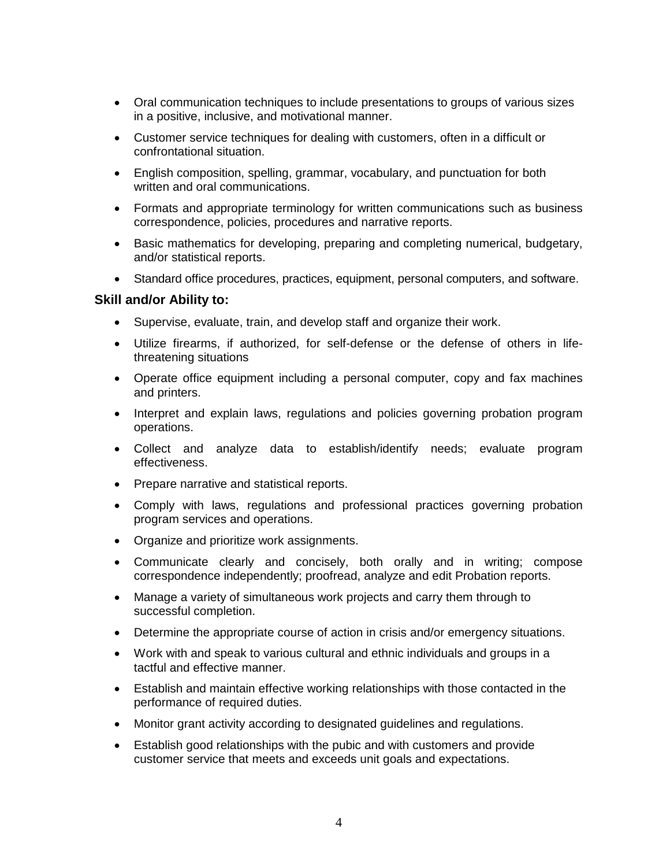- Oral communication techniques to include presentations to groups of various sizes in a positive, inclusive, and motivational manner.
- Customer service techniques for dealing with customers, often in a difficult or confrontational situation.
- English composition, spelling, grammar, vocabulary, and punctuation for both written and oral communications.
- Formats and appropriate terminology for written communications such as business correspondence, policies, procedures and narrative reports.
- Basic mathematics for developing, preparing and completing numerical, budgetary, and/or statistical reports.
- Standard office procedures, practices, equipment, personal computers, and software.

#### **Skill and/or Ability to:**

- Supervise, evaluate, train, and develop staff and organize their work.
- Utilize firearms, if authorized, for self-defense or the defense of others in lifethreatening situations
- Operate office equipment including a personal computer, copy and fax machines and printers.
- Interpret and explain laws, regulations and policies governing probation program operations.
- Collect and analyze data to establish/identify needs; evaluate program effectiveness.
- Prepare narrative and statistical reports.
- Comply with laws, regulations and professional practices governing probation program services and operations.
- Organize and prioritize work assignments.
- Communicate clearly and concisely, both orally and in writing; compose correspondence independently; proofread, analyze and edit Probation reports.
- Manage a variety of simultaneous work projects and carry them through to successful completion.
- Determine the appropriate course of action in crisis and/or emergency situations.
- Work with and speak to various cultural and ethnic individuals and groups in a tactful and effective manner.
- Establish and maintain effective working relationships with those contacted in the performance of required duties.
- Monitor grant activity according to designated guidelines and regulations.
- Establish good relationships with the pubic and with customers and provide customer service that meets and exceeds unit goals and expectations.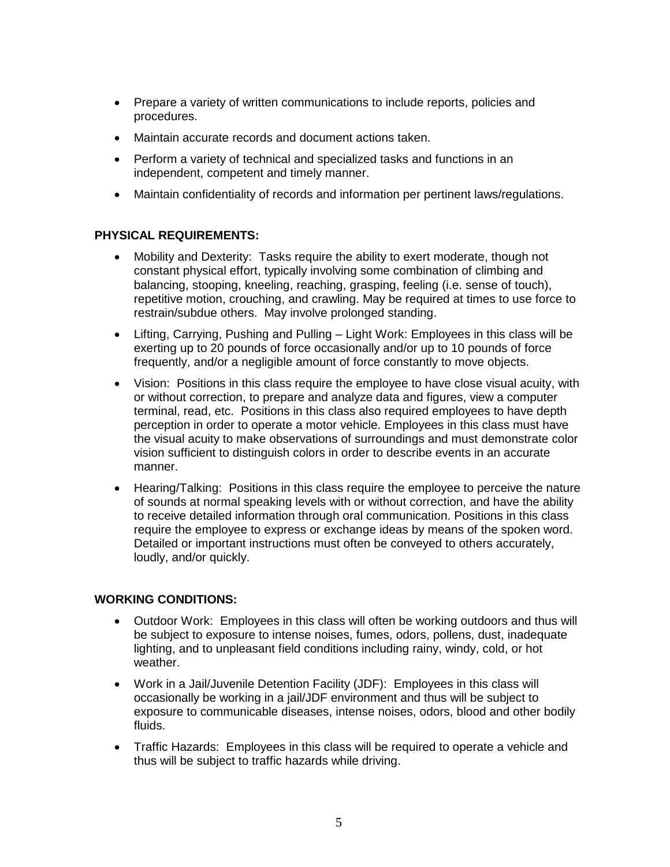- Prepare a variety of written communications to include reports, policies and procedures.
- Maintain accurate records and document actions taken.
- Perform a variety of technical and specialized tasks and functions in an independent, competent and timely manner.
- Maintain confidentiality of records and information per pertinent laws/regulations.

#### **PHYSICAL REQUIREMENTS:**

- Mobility and Dexterity: Tasks require the ability to exert moderate, though not constant physical effort, typically involving some combination of climbing and balancing, stooping, kneeling, reaching, grasping, feeling (i.e. sense of touch), repetitive motion, crouching, and crawling. May be required at times to use force to restrain/subdue others. May involve prolonged standing.
- Lifting, Carrying, Pushing and Pulling Light Work: Employees in this class will be exerting up to 20 pounds of force occasionally and/or up to 10 pounds of force frequently, and/or a negligible amount of force constantly to move objects.
- Vision: Positions in this class require the employee to have close visual acuity, with or without correction, to prepare and analyze data and figures, view a computer terminal, read, etc. Positions in this class also required employees to have depth perception in order to operate a motor vehicle. Employees in this class must have the visual acuity to make observations of surroundings and must demonstrate color vision sufficient to distinguish colors in order to describe events in an accurate manner.
- Hearing/Talking: Positions in this class require the employee to perceive the nature of sounds at normal speaking levels with or without correction, and have the ability to receive detailed information through oral communication. Positions in this class require the employee to express or exchange ideas by means of the spoken word. Detailed or important instructions must often be conveyed to others accurately, loudly, and/or quickly.

#### **WORKING CONDITIONS:**

- Outdoor Work: Employees in this class will often be working outdoors and thus will be subject to exposure to intense noises, fumes, odors, pollens, dust, inadequate lighting, and to unpleasant field conditions including rainy, windy, cold, or hot weather.
- Work in a Jail/Juvenile Detention Facility (JDF): Employees in this class will occasionally be working in a jail/JDF environment and thus will be subject to exposure to communicable diseases, intense noises, odors, blood and other bodily fluids.
- Traffic Hazards: Employees in this class will be required to operate a vehicle and thus will be subject to traffic hazards while driving.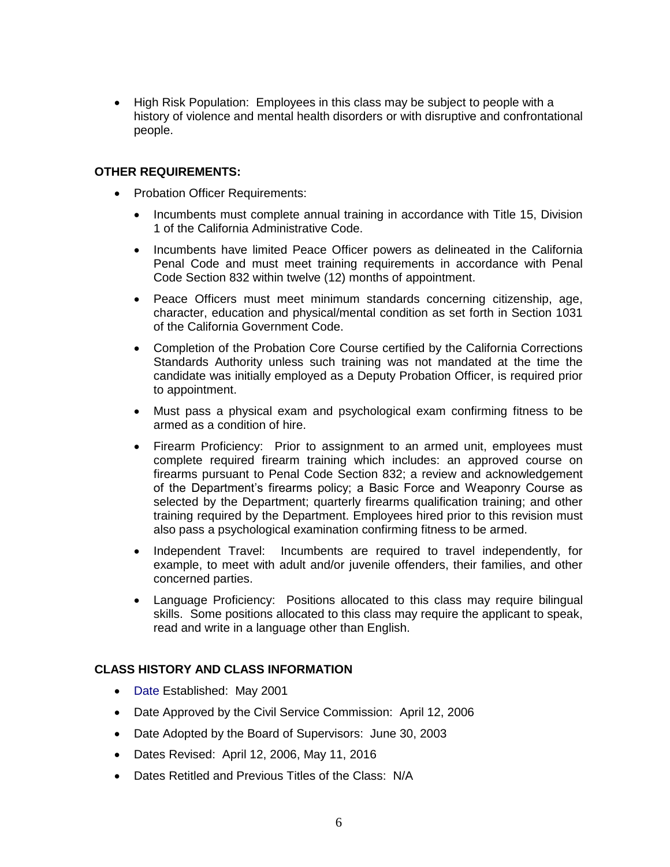• High Risk Population: Employees in this class may be subject to people with a history of violence and mental health disorders or with disruptive and confrontational people.

#### **OTHER REQUIREMENTS:**

- Probation Officer Requirements:
	- Incumbents must complete annual training in accordance with Title 15, Division 1 of the California Administrative Code.
	- Incumbents have limited Peace Officer powers as delineated in the California Penal Code and must meet training requirements in accordance with Penal Code Section 832 within twelve (12) months of appointment.
	- Peace Officers must meet minimum standards concerning citizenship, age, character, education and physical/mental condition as set forth in Section 1031 of the California Government Code.
	- Completion of the Probation Core Course certified by the California Corrections Standards Authority unless such training was not mandated at the time the candidate was initially employed as a Deputy Probation Officer, is required prior to appointment.
	- Must pass a physical exam and psychological exam confirming fitness to be armed as a condition of hire.
	- Firearm Proficiency: Prior to assignment to an armed unit, employees must complete required firearm training which includes: an approved course on firearms pursuant to Penal Code Section 832; a review and acknowledgement of the Department's firearms policy; a Basic Force and Weaponry Course as selected by the Department; quarterly firearms qualification training; and other training required by the Department. Employees hired prior to this revision must also pass a psychological examination confirming fitness to be armed.
	- Independent Travel: Incumbents are required to travel independently, for example, to meet with adult and/or juvenile offenders, their families, and other concerned parties.
	- Language Proficiency: Positions allocated to this class may require bilingual skills. Some positions allocated to this class may require the applicant to speak, read and write in a language other than English.

#### **CLASS HISTORY AND CLASS INFORMATION**

- Date Established: May 2001
- Date Approved by the Civil Service Commission: April 12, 2006
- Date Adopted by the Board of Supervisors: June 30, 2003
- Dates Revised: April 12, 2006, May 11, 2016
- Dates Retitled and Previous Titles of the Class: N/A